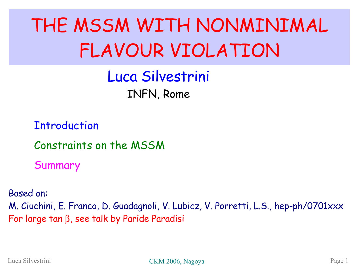## THE MSSM WITH NONMINIMAL FLAVOUR VIOLATION

Luca Silvestrini INFN, Rome

**Introduction** 

Constraints on the MSSM

Summary

Based on: M. Ciuchini, E. Franco, D. Guadagnoli, V. Lubicz, V. Porretti, L.S., hep-ph/0701xxx For large tan  $\beta$ , see talk by Paride Paradisi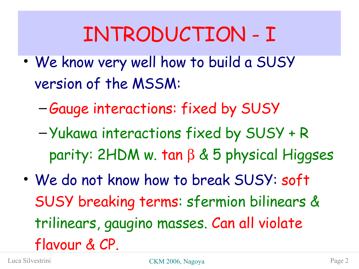## INTRODUCTION - I

- We know very well how to build a SUSY version of the MSSM:
	- –Gauge interactions: fixed by SUSY
	- –Yukawa interactions fixed by SUSY + R parity:  $2HDM$  w. tan  $\beta$  & 5 physical Higgses
- We do not know how to break SUSY: soft SUSY breaking terms: sfermion bilinears & trilinears, gaugino masses. Can all violate flavour & CP.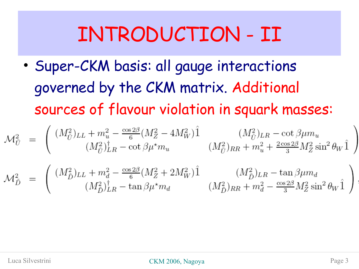#### INTRODUCTION - II

• Super-CKM basis: all gauge interactions governed by the CKM matrix. Additional sources of flavour violation in squark masses:

$$
\mathcal{M}_{\tilde{U}}^2 = \begin{pmatrix} (M_{\tilde{U}}^2)_{LL} + m_u^2 - \frac{\cos 2\beta}{6} (M_Z^2 - 4M_W^2) \hat{1} & (M_{\tilde{U}}^2)_{LR} - \cot \beta \mu m_u \\ (M_{\tilde{U}}^2)_{LR}^{\dagger} - \cot \beta \mu^{\star} m_u & (M_{\tilde{U}}^2)_{RR} + m_u^2 + \frac{2 \cos 2\beta}{3} M_Z^2 \sin^2 \theta_W \hat{1} \end{pmatrix}
$$
  

$$
\mathcal{M}_{\tilde{D}}^2 = \begin{pmatrix} (M_{\tilde{D}}^2)_{LL} + m_d^2 - \frac{\cos 2\beta}{6} (M_Z^2 + 2M_W^2) \hat{1} & (M_{\tilde{D}}^2)_{LR} - \tan \beta \mu m_d \\ (M_{\tilde{D}}^2)_{LR}^{\dagger} - \tan \beta \mu^{\star} m_d & (M_{\tilde{D}}^2)_{RR} + m_d^2 - \frac{\cos 2\beta}{3} M_Z^2 \sin^2 \theta_W \hat{1} \end{pmatrix}
$$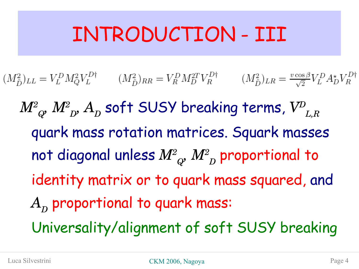#### INTRODUCTION - III

- $(M_{\tilde{D}}^2)_{LL} = V_L^D M_Q^2 V_L^{D\dagger}$   $(M_{\tilde{D}}^2)_{RR} = V_R^D M_D^{2T} V_R^{D\dagger}$  $(M_{\tilde{D}}^2)_{LR} = \frac{v \cos \beta}{\sqrt{2}} V_L^D A_D^{\star} V_R^{D\dagger}$ 
	- $M^{2}{}_{Q^{\prime}}$   $M^{2}{}_{D^{\prime}}$   $A^{~}_D$  soft SUSY breaking terms,  $V^{D}{}_{L,R}$ quark mass rotation matrices. Squark masses not diagonal unless  $M^{2}_{\;\;Q}$ ,  $M^{2}_{\;\;D}$  proportional to identity matrix or to quark mass squared, and  $A^{\vphantom{\dagger}}_D$  proportional to quark mass: Universality/alignment of soft SUSY breaking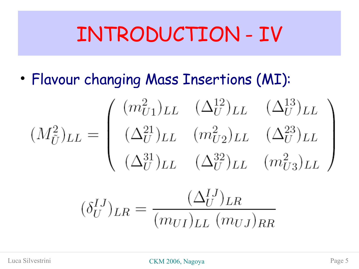#### INTRODUCTION - IV

• Flavour changing Mass Insertions (MI):

$$
(M_{\tilde{U}}^2)_{LL} = \begin{pmatrix} (m_{U1}^2)_{LL} & (\Delta_U^{12})_{LL} & (\Delta_U^{13})_{LL} \\ (\Delta_U^{21})_{LL} & (m_{U2}^2)_{LL} & (\Delta_U^{23})_{LL} \\ (\Delta_U^{31})_{LL} & (\Delta_U^{32})_{LL} & (m_{U3}^2)_{LL} \end{pmatrix}
$$

$$
(\delta_U^{IJ})_{LR} = \frac{(\Delta_U^{IJ})_{LR}}{(m_{UI})_{LL} (m_{UI})_{RR}}
$$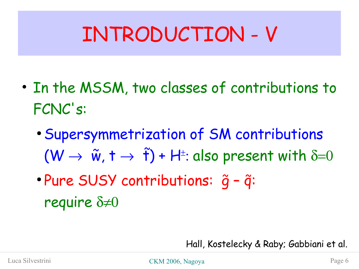## INTRODUCTION - V

- In the MSSM, two classes of contributions to FCNC's:
	- Supersymmetrization of SM contributions  $(W \rightarrow \tilde{w}, t \rightarrow \tilde{t})$  + H<sup>t</sup>: also present with  $\delta = 0$  $\frac{2}{10}$  +  $\frac{2}{10}$
	- · Pure SUSY contributions:  $\tilde{g}$   $\tilde{q}$ : require  $\delta \neq 0$

Hall, Kostelecky & Raby; Gabbiani et al.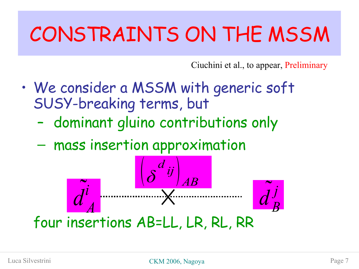## CONSTRAINTS ON THE MSSM

Ciuchini et al., to appear, Preliminary

- We consider a MSSM with generic soft SUSY-breaking terms, but
	- dominant gluino contributions only
	- mass insertion approximation



four insertions AB=LL, LR, RL, RR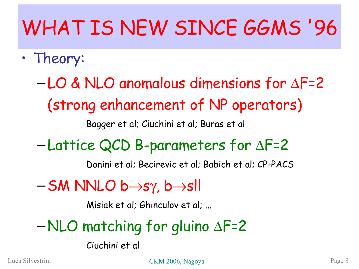# WHAT IS NEW SINCE GGMS '96

• Theory:

 $-LO$  & NLO anomalous dimensions for  $\Delta$ F=2 (strong enhancement of NP operators) Bagger et al; Ciuchini et al; Buras et al

 $-Lattice QCD$  B-parameters for  $\Delta$ F=2

Donini et al; Becirevic et al; Babich et al; CP-PACS

 $-SM$  NNLO  $b \rightarrow s\gamma$ ,  $b \rightarrow sH$ 

Misiak et al; Ghinculov et al; ...

 $–NLO$  matching for gluino  $\Delta F=2$ 

Ciuchini et al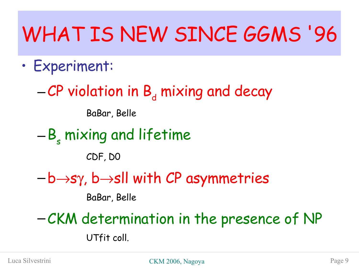## WHAT IS NEW SINCE GGMS '96

- Experiment:
	- $-CP$  violation in  $B_d$  mixing and decay

BaBar, Belle

 $-B<sub>s</sub>$  mixing and lifetime

CDF, D0

 $-b \rightarrow$ sy, b $\rightarrow$ sll with CP asymmetries

BaBar, Belle

–CKM determination in the presence of NP UTfit coll.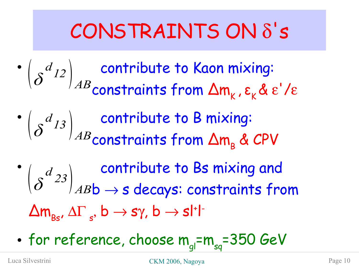#### CONSTRAINTS ON  $\delta$ 's

 $\bullet$   $\begin{pmatrix} d_{12} \end{pmatrix}$  contribute to Kaon mixing: constraints from  $\Delta m_{K}^{}$  , ε $_{K}^{}$ & ε'/ε  $\bullet$   $\begin{pmatrix} d_{13} \end{pmatrix}$  contribute to B mixing:  $\mathop{{\sf constrains}}$  from  $\Delta {\sf m}_{_{\sf B}}$  & CPV  $\bullet$   $\begin{bmatrix} d_{\text{loc}} \end{bmatrix}$  contribute to Bs mixing and  $\left(\delta^{a}{}^{23}\right)_{AB}$   $\rightarrow$  s decays: constraints from *δ d*  $\begin{array}{c} 12 \end{array}$   $AB$  *δ d*  $\begin{array}{c} 13 \end{array}$   $AB$ *d*  $\begin{array}{c} 23 \ A B \end{array}$ 

 $\Delta \mathsf{m}_{\scriptscriptstyle{\mathsf{BS}}}$ ,  $\Delta \Gamma_{\scriptscriptstyle{\mathsf{s}}},\, \mathsf{b} \to \mathsf{s}\gamma,\, \mathsf{b} \to \mathsf{s}\mathsf{l}^*\mathsf{l}^{\scriptscriptstyle{\mathsf{T}}}$ 

• for reference, choose  $\mathsf{m}_{\mathsf{gl}}$ = $\mathsf{m}_{\mathsf{sq}}$ =350 GeV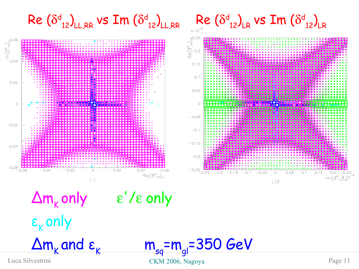

=m<sub>gl</sub>=350 GeV

Luca Silvestrini CKM 2006, Nagoya Page 11

 $\Delta m_{k}$  and  $\varepsilon_{k}$  m<sub>sq</sub>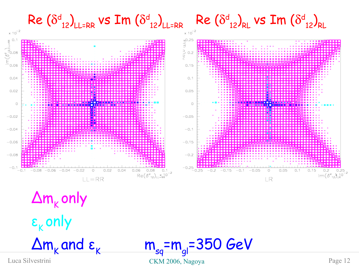

 $\Delta$ m $_{\rm K}$ only ε<sub>κ</sub> only  $\Delta m_{k}$  and  $\varepsilon_{k}$  m<sub>sq</sub>

Luca Silvestrini CKM 2006, Nagoya Page 12 =m<sub>gl</sub>=350 GeV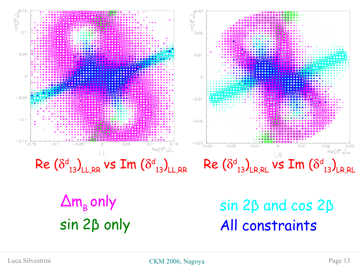

sin 2β only

All constraints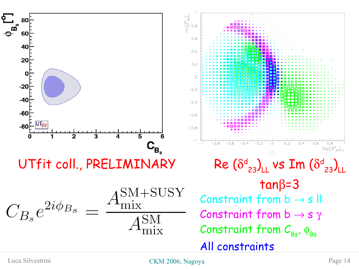

Luca Silvestrini CKM 2006, Nagoya Page 14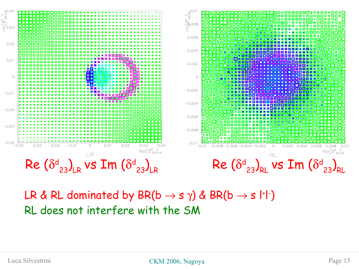

#### LR & RL dominated by BR(b  $\rightarrow$  s  $\gamma$ ) & BR(b  $\rightarrow$  s l<sup>+</sup>l<sup>-</sup>) RL does not interfere with the SM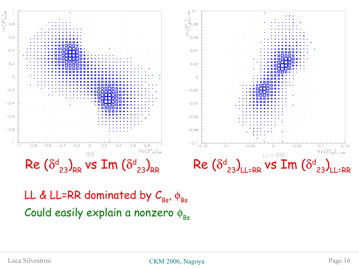

LL & LL=RR dominated by  $\mathcal{C}_{_{\mathsf{Bs}}}$ ,  $\phi_{_{\mathsf{Bs}}}$ Could easily explain a nonzero  $\phi_{\text{BS}}$